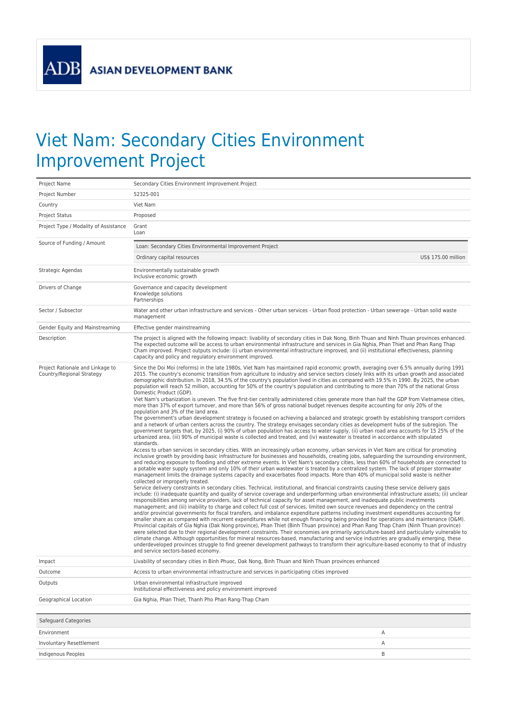ADB

## Viet Nam: Secondary Cities Environment Improvement Project

| Project Name                                                  | Secondary Cities Environment Improvement Project                                                                                                                                                                                                                                                                                                                                                                                                                                                                                                                                                                                                                                                                                                                                                                                                                                                                                                                                                                                                                                                                                                                                                                                                                                                                                                                                                                                                                                                                                                                                                                                                                                                                                                                                                                                                                                                                                                                                                                                                                                                                                                                                                                                                                                                                                                                                                                                                                                                                                                                                                                                                                                                                                                                                                                                                                                                                                                                                                                                                                                                                                                                                                                                                                                                                                                                                                                                                                                                                                                                                                                                                                                                                                                        |
|---------------------------------------------------------------|---------------------------------------------------------------------------------------------------------------------------------------------------------------------------------------------------------------------------------------------------------------------------------------------------------------------------------------------------------------------------------------------------------------------------------------------------------------------------------------------------------------------------------------------------------------------------------------------------------------------------------------------------------------------------------------------------------------------------------------------------------------------------------------------------------------------------------------------------------------------------------------------------------------------------------------------------------------------------------------------------------------------------------------------------------------------------------------------------------------------------------------------------------------------------------------------------------------------------------------------------------------------------------------------------------------------------------------------------------------------------------------------------------------------------------------------------------------------------------------------------------------------------------------------------------------------------------------------------------------------------------------------------------------------------------------------------------------------------------------------------------------------------------------------------------------------------------------------------------------------------------------------------------------------------------------------------------------------------------------------------------------------------------------------------------------------------------------------------------------------------------------------------------------------------------------------------------------------------------------------------------------------------------------------------------------------------------------------------------------------------------------------------------------------------------------------------------------------------------------------------------------------------------------------------------------------------------------------------------------------------------------------------------------------------------------------------------------------------------------------------------------------------------------------------------------------------------------------------------------------------------------------------------------------------------------------------------------------------------------------------------------------------------------------------------------------------------------------------------------------------------------------------------------------------------------------------------------------------------------------------------------------------------------------------------------------------------------------------------------------------------------------------------------------------------------------------------------------------------------------------------------------------------------------------------------------------------------------------------------------------------------------------------------------------------------------------------------------------------------------------------|
| Project Number                                                | 52325-001                                                                                                                                                                                                                                                                                                                                                                                                                                                                                                                                                                                                                                                                                                                                                                                                                                                                                                                                                                                                                                                                                                                                                                                                                                                                                                                                                                                                                                                                                                                                                                                                                                                                                                                                                                                                                                                                                                                                                                                                                                                                                                                                                                                                                                                                                                                                                                                                                                                                                                                                                                                                                                                                                                                                                                                                                                                                                                                                                                                                                                                                                                                                                                                                                                                                                                                                                                                                                                                                                                                                                                                                                                                                                                                                               |
| Country                                                       | Viet Nam                                                                                                                                                                                                                                                                                                                                                                                                                                                                                                                                                                                                                                                                                                                                                                                                                                                                                                                                                                                                                                                                                                                                                                                                                                                                                                                                                                                                                                                                                                                                                                                                                                                                                                                                                                                                                                                                                                                                                                                                                                                                                                                                                                                                                                                                                                                                                                                                                                                                                                                                                                                                                                                                                                                                                                                                                                                                                                                                                                                                                                                                                                                                                                                                                                                                                                                                                                                                                                                                                                                                                                                                                                                                                                                                                |
| Project Status                                                | Proposed                                                                                                                                                                                                                                                                                                                                                                                                                                                                                                                                                                                                                                                                                                                                                                                                                                                                                                                                                                                                                                                                                                                                                                                                                                                                                                                                                                                                                                                                                                                                                                                                                                                                                                                                                                                                                                                                                                                                                                                                                                                                                                                                                                                                                                                                                                                                                                                                                                                                                                                                                                                                                                                                                                                                                                                                                                                                                                                                                                                                                                                                                                                                                                                                                                                                                                                                                                                                                                                                                                                                                                                                                                                                                                                                                |
| Project Type / Modality of Assistance                         | Grant<br>Loan                                                                                                                                                                                                                                                                                                                                                                                                                                                                                                                                                                                                                                                                                                                                                                                                                                                                                                                                                                                                                                                                                                                                                                                                                                                                                                                                                                                                                                                                                                                                                                                                                                                                                                                                                                                                                                                                                                                                                                                                                                                                                                                                                                                                                                                                                                                                                                                                                                                                                                                                                                                                                                                                                                                                                                                                                                                                                                                                                                                                                                                                                                                                                                                                                                                                                                                                                                                                                                                                                                                                                                                                                                                                                                                                           |
| Source of Funding / Amount                                    | Loan: Secondary Cities Environmental Improvement Project                                                                                                                                                                                                                                                                                                                                                                                                                                                                                                                                                                                                                                                                                                                                                                                                                                                                                                                                                                                                                                                                                                                                                                                                                                                                                                                                                                                                                                                                                                                                                                                                                                                                                                                                                                                                                                                                                                                                                                                                                                                                                                                                                                                                                                                                                                                                                                                                                                                                                                                                                                                                                                                                                                                                                                                                                                                                                                                                                                                                                                                                                                                                                                                                                                                                                                                                                                                                                                                                                                                                                                                                                                                                                                |
|                                                               | US\$ 175.00 million<br>Ordinary capital resources                                                                                                                                                                                                                                                                                                                                                                                                                                                                                                                                                                                                                                                                                                                                                                                                                                                                                                                                                                                                                                                                                                                                                                                                                                                                                                                                                                                                                                                                                                                                                                                                                                                                                                                                                                                                                                                                                                                                                                                                                                                                                                                                                                                                                                                                                                                                                                                                                                                                                                                                                                                                                                                                                                                                                                                                                                                                                                                                                                                                                                                                                                                                                                                                                                                                                                                                                                                                                                                                                                                                                                                                                                                                                                       |
| Strategic Agendas                                             | Environmentally sustainable growth<br>Inclusive economic growth                                                                                                                                                                                                                                                                                                                                                                                                                                                                                                                                                                                                                                                                                                                                                                                                                                                                                                                                                                                                                                                                                                                                                                                                                                                                                                                                                                                                                                                                                                                                                                                                                                                                                                                                                                                                                                                                                                                                                                                                                                                                                                                                                                                                                                                                                                                                                                                                                                                                                                                                                                                                                                                                                                                                                                                                                                                                                                                                                                                                                                                                                                                                                                                                                                                                                                                                                                                                                                                                                                                                                                                                                                                                                         |
| Drivers of Change                                             | Governance and capacity development<br>Knowledge solutions<br>Partnerships                                                                                                                                                                                                                                                                                                                                                                                                                                                                                                                                                                                                                                                                                                                                                                                                                                                                                                                                                                                                                                                                                                                                                                                                                                                                                                                                                                                                                                                                                                                                                                                                                                                                                                                                                                                                                                                                                                                                                                                                                                                                                                                                                                                                                                                                                                                                                                                                                                                                                                                                                                                                                                                                                                                                                                                                                                                                                                                                                                                                                                                                                                                                                                                                                                                                                                                                                                                                                                                                                                                                                                                                                                                                              |
| Sector / Subsector                                            | Water and other urban infrastructure and services - Other urban services - Urban flood protection - Urban sewerage - Urban solid waste<br>management                                                                                                                                                                                                                                                                                                                                                                                                                                                                                                                                                                                                                                                                                                                                                                                                                                                                                                                                                                                                                                                                                                                                                                                                                                                                                                                                                                                                                                                                                                                                                                                                                                                                                                                                                                                                                                                                                                                                                                                                                                                                                                                                                                                                                                                                                                                                                                                                                                                                                                                                                                                                                                                                                                                                                                                                                                                                                                                                                                                                                                                                                                                                                                                                                                                                                                                                                                                                                                                                                                                                                                                                    |
| Gender Equity and Mainstreaming                               | Effective gender mainstreaming                                                                                                                                                                                                                                                                                                                                                                                                                                                                                                                                                                                                                                                                                                                                                                                                                                                                                                                                                                                                                                                                                                                                                                                                                                                                                                                                                                                                                                                                                                                                                                                                                                                                                                                                                                                                                                                                                                                                                                                                                                                                                                                                                                                                                                                                                                                                                                                                                                                                                                                                                                                                                                                                                                                                                                                                                                                                                                                                                                                                                                                                                                                                                                                                                                                                                                                                                                                                                                                                                                                                                                                                                                                                                                                          |
| Description                                                   | The project is aligned with the following impact: livability of secondary cities in Dak Nong, Binh Thuan and Ninh Thuan provinces enhanced.<br>The expected outcome will be access to urban environmental infrastructure and services in Gia Nghia, Phan Thiet and Phan Rang Thap<br>Cham improved. Project outputs include: (i) urban environmental infrastructure improved, and (ii) institutional effectiveness, planning<br>capacity and policy and regulatory environment improved.                                                                                                                                                                                                                                                                                                                                                                                                                                                                                                                                                                                                                                                                                                                                                                                                                                                                                                                                                                                                                                                                                                                                                                                                                                                                                                                                                                                                                                                                                                                                                                                                                                                                                                                                                                                                                                                                                                                                                                                                                                                                                                                                                                                                                                                                                                                                                                                                                                                                                                                                                                                                                                                                                                                                                                                                                                                                                                                                                                                                                                                                                                                                                                                                                                                                |
| Project Rationale and Linkage to<br>Country/Regional Strategy | Since the Doi Moi (reforms) in the late 1980s, Viet Nam has maintained rapid economic growth, averaging over 6.5% annually during 1991<br>2015. The country's economic transition from agriculture to industry and service sectors closely links with its urban growth and associated<br>demographic distribution. In 2018, 34.5% of the country's population lived in cities as compared with 19.5% in 1990. By 2025, the urban<br>population will reach 52 million, accounting for 50% of the country's population and contributing to more than 70% of the national Gross<br>Domestic Product (GDP).<br>Viet Nam's urbanization is uneven. The five first-tier centrally administered cities generate more than half the GDP from Vietnamese cities,<br>more than 37% of export turnover, and more than 56% of gross national budget revenues despite accounting for only 20% of the<br>population and 3% of the land area.<br>The government's urban development strategy is focused on achieving a balanced and strategic growth by establishing transport corridors<br>and a network of urban centers across the country. The strategy envisages secondary cities as development hubs of the subregion. The<br>government targets that, by 2025, (i) 90% of urban population has access to water supply, (ii) urban road area accounts for 15 25% of the<br>urbanized area, (iii) 90% of municipal waste is collected and treated, and (iv) wastewater is treated in accordance with stipulated<br>standards.<br>Access to urban services in secondary cities. With an increasingly urban economy, urban services in Viet Nam are critical for promoting<br>inclusive growth by providing basic infrastructure for businesses and households, creating jobs, safeguarding the surrounding environment,<br>and reducing exposure to flooding and other extreme events. In Viet Nam's secondary cities, less than 60% of households are connected to<br>a potable water supply system and only 10% of their urban wastewater is treated by a centralized system. The lack of proper stormwater<br>management limits the drainage systems capacity and exacerbates flood impacts. More than 40% of municipal solid waste is neither<br>collected or improperly treated.<br>Service delivery constraints in secondary cities. Technical, institutional, and financial constraints causing these service delivery gaps<br>include: (i) inadequate quantity and quality of service coverage and underperforming urban environmental infrastructure assets; (ii) unclear<br>responsibilities among service providers, lack of technical capacity for asset management, and inadequate public investments<br>management; and (iii) inability to charge and collect full cost of services, limited own source revenues and dependency on the central<br>and/or provincial governments for fiscal transfers, and imbalance expenditure patterns including investment expenditures accounting for<br>smaller share as compared with recurrent expenditures while not enough financing being provided for operations and maintenance (O&M).<br>Provincial capitals of Gia Nghia (Dak Nong province), Phan Thiet (Binh Thuan province) and Phan Rang Thap Cham (Ninh Thuan province)<br>were selected due to their regional development constraints. Their economies are primarily agriculture-based and particularly vulnerable to<br>climate change. Although opportunities for mineral resources-based, manufacturing and service industries are gradually emerging, these<br>underdeveloped provinces struggle to find greener development pathways to transform their agriculture-based economy to that of industry<br>and service sectors-based economy. |
| Impact                                                        | Livability of secondary cities in Binh Phuoc, Dak Nong, Binh Thuan and Ninh Thuan provinces enhanced                                                                                                                                                                                                                                                                                                                                                                                                                                                                                                                                                                                                                                                                                                                                                                                                                                                                                                                                                                                                                                                                                                                                                                                                                                                                                                                                                                                                                                                                                                                                                                                                                                                                                                                                                                                                                                                                                                                                                                                                                                                                                                                                                                                                                                                                                                                                                                                                                                                                                                                                                                                                                                                                                                                                                                                                                                                                                                                                                                                                                                                                                                                                                                                                                                                                                                                                                                                                                                                                                                                                                                                                                                                    |
| Outcome                                                       | Access to urban environmental infrastructure and services in participating cities improved                                                                                                                                                                                                                                                                                                                                                                                                                                                                                                                                                                                                                                                                                                                                                                                                                                                                                                                                                                                                                                                                                                                                                                                                                                                                                                                                                                                                                                                                                                                                                                                                                                                                                                                                                                                                                                                                                                                                                                                                                                                                                                                                                                                                                                                                                                                                                                                                                                                                                                                                                                                                                                                                                                                                                                                                                                                                                                                                                                                                                                                                                                                                                                                                                                                                                                                                                                                                                                                                                                                                                                                                                                                              |
| Outputs                                                       | Urban environmental infrastructure improved<br>Institutional effectiveness and policy environment improved                                                                                                                                                                                                                                                                                                                                                                                                                                                                                                                                                                                                                                                                                                                                                                                                                                                                                                                                                                                                                                                                                                                                                                                                                                                                                                                                                                                                                                                                                                                                                                                                                                                                                                                                                                                                                                                                                                                                                                                                                                                                                                                                                                                                                                                                                                                                                                                                                                                                                                                                                                                                                                                                                                                                                                                                                                                                                                                                                                                                                                                                                                                                                                                                                                                                                                                                                                                                                                                                                                                                                                                                                                              |
| Geographical Location                                         | Gia Nghia, Phan Thiet, Thanh Pho Phan Rang-Thap Cham                                                                                                                                                                                                                                                                                                                                                                                                                                                                                                                                                                                                                                                                                                                                                                                                                                                                                                                                                                                                                                                                                                                                                                                                                                                                                                                                                                                                                                                                                                                                                                                                                                                                                                                                                                                                                                                                                                                                                                                                                                                                                                                                                                                                                                                                                                                                                                                                                                                                                                                                                                                                                                                                                                                                                                                                                                                                                                                                                                                                                                                                                                                                                                                                                                                                                                                                                                                                                                                                                                                                                                                                                                                                                                    |
|                                                               |                                                                                                                                                                                                                                                                                                                                                                                                                                                                                                                                                                                                                                                                                                                                                                                                                                                                                                                                                                                                                                                                                                                                                                                                                                                                                                                                                                                                                                                                                                                                                                                                                                                                                                                                                                                                                                                                                                                                                                                                                                                                                                                                                                                                                                                                                                                                                                                                                                                                                                                                                                                                                                                                                                                                                                                                                                                                                                                                                                                                                                                                                                                                                                                                                                                                                                                                                                                                                                                                                                                                                                                                                                                                                                                                                         |
| Safeguard Categories                                          |                                                                                                                                                                                                                                                                                                                                                                                                                                                                                                                                                                                                                                                                                                                                                                                                                                                                                                                                                                                                                                                                                                                                                                                                                                                                                                                                                                                                                                                                                                                                                                                                                                                                                                                                                                                                                                                                                                                                                                                                                                                                                                                                                                                                                                                                                                                                                                                                                                                                                                                                                                                                                                                                                                                                                                                                                                                                                                                                                                                                                                                                                                                                                                                                                                                                                                                                                                                                                                                                                                                                                                                                                                                                                                                                                         |
| Environment                                                   | Α                                                                                                                                                                                                                                                                                                                                                                                                                                                                                                                                                                                                                                                                                                                                                                                                                                                                                                                                                                                                                                                                                                                                                                                                                                                                                                                                                                                                                                                                                                                                                                                                                                                                                                                                                                                                                                                                                                                                                                                                                                                                                                                                                                                                                                                                                                                                                                                                                                                                                                                                                                                                                                                                                                                                                                                                                                                                                                                                                                                                                                                                                                                                                                                                                                                                                                                                                                                                                                                                                                                                                                                                                                                                                                                                                       |
| Involuntary Resettlement                                      | Α                                                                                                                                                                                                                                                                                                                                                                                                                                                                                                                                                                                                                                                                                                                                                                                                                                                                                                                                                                                                                                                                                                                                                                                                                                                                                                                                                                                                                                                                                                                                                                                                                                                                                                                                                                                                                                                                                                                                                                                                                                                                                                                                                                                                                                                                                                                                                                                                                                                                                                                                                                                                                                                                                                                                                                                                                                                                                                                                                                                                                                                                                                                                                                                                                                                                                                                                                                                                                                                                                                                                                                                                                                                                                                                                                       |
| Indigenous Peoples                                            | B                                                                                                                                                                                                                                                                                                                                                                                                                                                                                                                                                                                                                                                                                                                                                                                                                                                                                                                                                                                                                                                                                                                                                                                                                                                                                                                                                                                                                                                                                                                                                                                                                                                                                                                                                                                                                                                                                                                                                                                                                                                                                                                                                                                                                                                                                                                                                                                                                                                                                                                                                                                                                                                                                                                                                                                                                                                                                                                                                                                                                                                                                                                                                                                                                                                                                                                                                                                                                                                                                                                                                                                                                                                                                                                                                       |